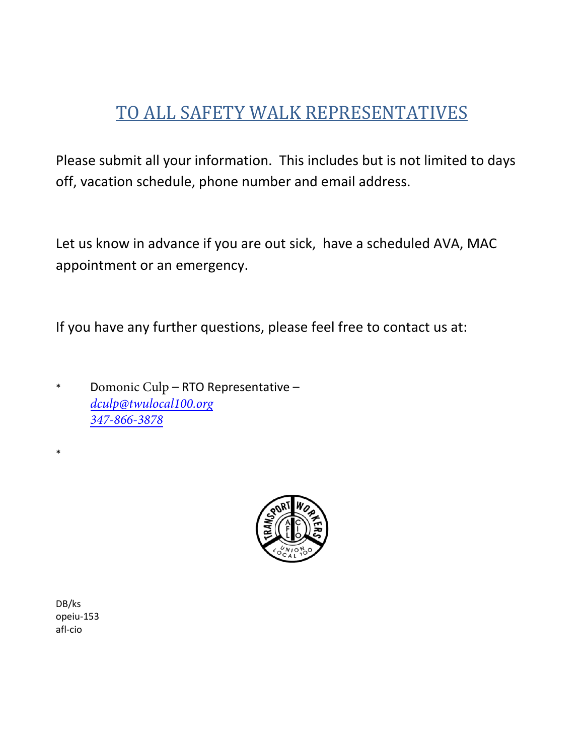# TO ALL SAFETY WALK REPRESENTATIVES

Please submit all your information. This includes but is not limited to days off, vacation schedule, phone number and email address.

Let us know in advance if you are out sick, have a scheduled AVA, MAC appointment or an emergency.

If you have any further questions, please feel free to contact us at:

\* Domonic Culp – RTO Representative – *[dculp@twulocal100.org](mailto:dbrinson@twulocal100.org) 347-866-3878*



DB/ks opeiu-153 afl-cio

\*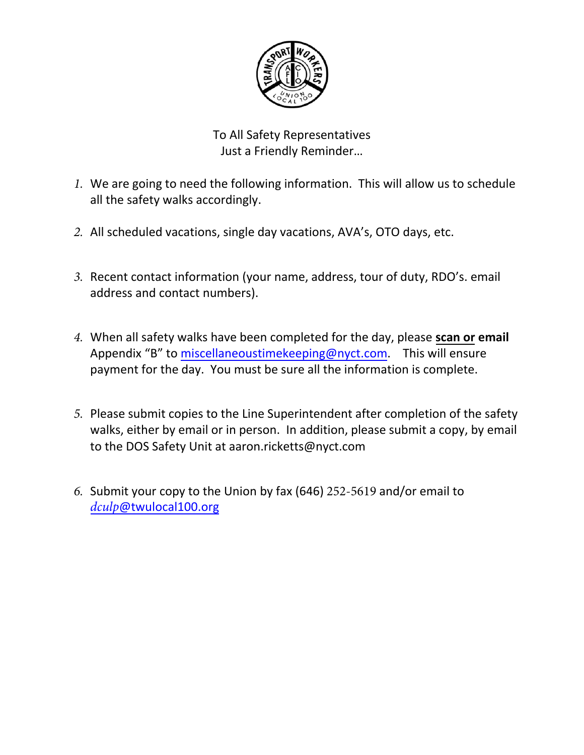

To All Safety Representatives Just a Friendly Reminder…

- *1.* We are going to need the following information. This will allow us to schedule all the safety walks accordingly.
- *2.* All scheduled vacations, single day vacations, AVA's, OTO days, etc.
- *3.* Recent contact information (your name, address, tour of duty, RDO's. email address and contact numbers).
- *4.* When all safety walks have been completed for the day, please **scan or email** Appendix "B" to [miscellaneoustimekeeping@nyct.com.](mailto:miscellaneoustimekeeping@nyct.com) This will ensure payment for the day. You must be sure all the information is complete.
- *5.* Please submit copies to the Line Superintendent after completion of the safety walks, either by email or in person. In addition, please submit a copy, by email to the DOS Safety Unit at aaron.ricketts@nyct.com
- *6.* Submit your copy to the Union by fax (646) 252-5619 and/or email to *dculp*[@twulocal100.org](mailto:dbrinson@twulocal100.org)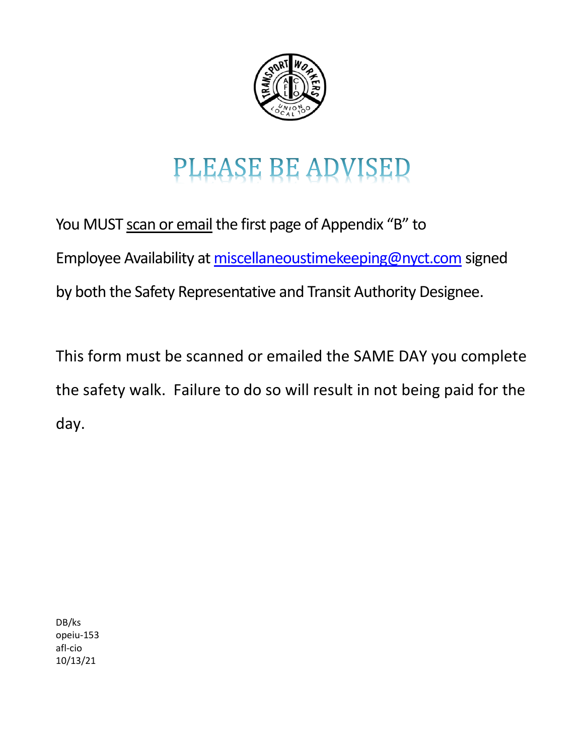

# PLEASE BE ADVISED

You MUST scan or email the first page of Appendix "B" to Employee Availability at [miscellaneoustimekeeping@nyct.com](mailto:miscellaneoustimekeeping@nyct.com) signed by both the Safety Representative and Transit Authority Designee.

This form must be scanned or emailed the SAME DAY you complete the safety walk. Failure to do so will result in not being paid for the day.

DB/ks opeiu-153 afl-cio 10/13/21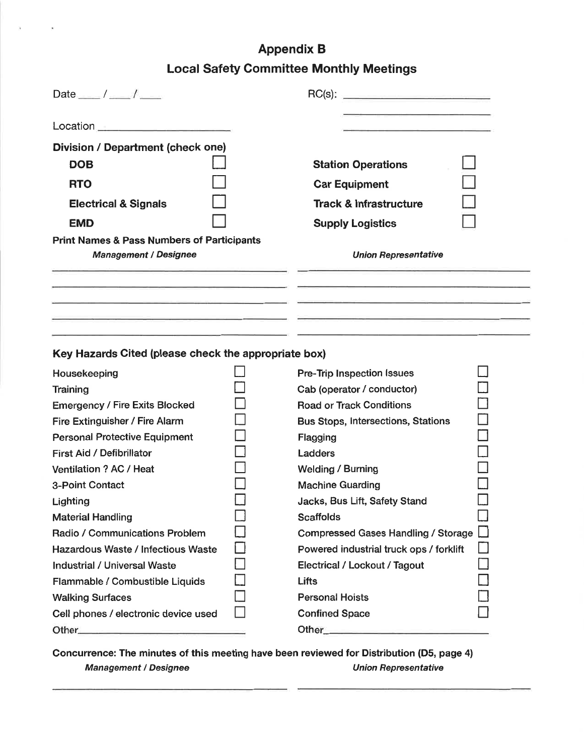# **Appendix B Local Safety Committee Monthly Meetings**

| Date $\frac{\ }{\ }$ / $\frac{\ }{\ }$                                                |                                           |        |
|---------------------------------------------------------------------------------------|-------------------------------------------|--------|
| Location <u>_______________________</u>                                               |                                           |        |
| Division / Department (check one)                                                     |                                           |        |
| <b>DOB</b>                                                                            | <b>Station Operations</b>                 |        |
| <b>RTO</b>                                                                            | <b>Car Equipment</b>                      |        |
|                                                                                       | <b>Track &amp; Infrastructure</b>         |        |
| <b>Electrical &amp; Signals</b>                                                       |                                           |        |
| <b>EMD</b>                                                                            | <b>Supply Logistics</b>                   |        |
| <b>Print Names &amp; Pass Numbers of Participants</b><br><b>Management / Designee</b> | <b>Union Representative</b>               |        |
|                                                                                       |                                           |        |
| Key Hazards Cited (please check the appropriate box)                                  |                                           |        |
| Housekeeping                                                                          | Pre-Trip Inspection Issues                |        |
| Training                                                                              | Cab (operator / conductor)                |        |
| <b>Emergency / Fire Exits Blocked</b>                                                 | <b>Road or Track Conditions</b>           | $\Box$ |
| Fire Extinguisher / Fire Alarm                                                        | <b>Bus Stops, Intersections, Stations</b> |        |
| <b>Personal Protective Equipment</b>                                                  | Flagging<br>Ladders                       |        |
| First Aid / Defibrillator<br>Ventilation ? AC / Heat                                  | <b>Welding / Burning</b>                  |        |
| 3-Point Contact                                                                       | <b>Machine Guarding</b>                   |        |
| Lighting                                                                              | Jacks, Bus Lift, Safety Stand             |        |
| <b>Material Handling</b>                                                              | <b>Scaffolds</b>                          |        |
| Radio / Communications Problem                                                        | Compressed Gases Handling / Storage [     |        |
| Hazardous Waste / Infectious Waste                                                    | Powered industrial truck ops / forklift   |        |
| <b>Industrial / Universal Waste</b>                                                   | Electrical / Lockout / Tagout             |        |
| Flammable / Combustible Liquids                                                       | Lifts                                     |        |

Concurrence: The minutes of this meeting have been reviewed for Distribution (D5, page 4) **Union Representative Management / Designee** 

 $\Box$ 

 $\Box$ 

**Walking Surfaces** 

Other\_

Cell phones / electronic device used

**Personal Hoists** 

**Confined Space** 

Other\_\_\_\_\_\_\_\_\_

П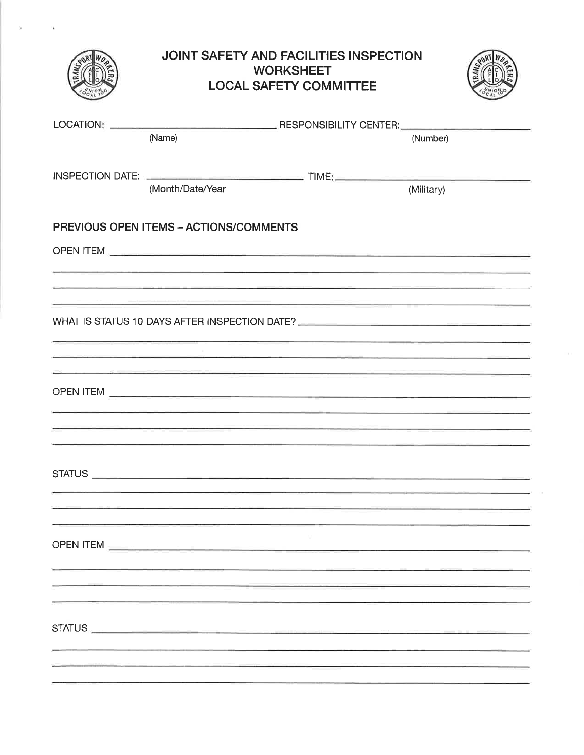|                                        | <b>JOINT SAFETY AND FACILITIES INSPECTION</b><br><b>WORKSHEET</b><br><b>LOCAL SAFETY COMMITTEE</b>                                                                                                                             |            |  |
|----------------------------------------|--------------------------------------------------------------------------------------------------------------------------------------------------------------------------------------------------------------------------------|------------|--|
| (Name)                                 |                                                                                                                                                                                                                                | (Number)   |  |
| (Month/Date/Year                       |                                                                                                                                                                                                                                | (Military) |  |
| PREVIOUS OPEN ITEMS - ACTIONS/COMMENTS |                                                                                                                                                                                                                                |            |  |
|                                        |                                                                                                                                                                                                                                |            |  |
|                                        | <u> 1989 - Andre Stadt Stadt for Angelske stadt for de Fryske stadt for de forske skrive som for de for</u><br>the contract of the contract of the contract of the contract of the contract of the contract of the contract of |            |  |
|                                        | WHAT IS STATUS 10 DAYS AFTER INSPECTION DATE? ___________________________________                                                                                                                                              |            |  |
|                                        |                                                                                                                                                                                                                                |            |  |
|                                        |                                                                                                                                                                                                                                |            |  |
|                                        | <u> 1989 - Andrea Barbara, Amerikaansk politiker (d. 1989)</u><br><u> 1989 - Andrea Alemania de Carlos de Carlos de Carlos de Carlos de Carlos de Carlos de Carlos de Carlos de Car</u>                                        |            |  |
|                                        |                                                                                                                                                                                                                                |            |  |
|                                        |                                                                                                                                                                                                                                |            |  |
|                                        |                                                                                                                                                                                                                                |            |  |
|                                        |                                                                                                                                                                                                                                |            |  |
|                                        |                                                                                                                                                                                                                                |            |  |
|                                        |                                                                                                                                                                                                                                |            |  |

 $\epsilon$ 

 $\sim 100$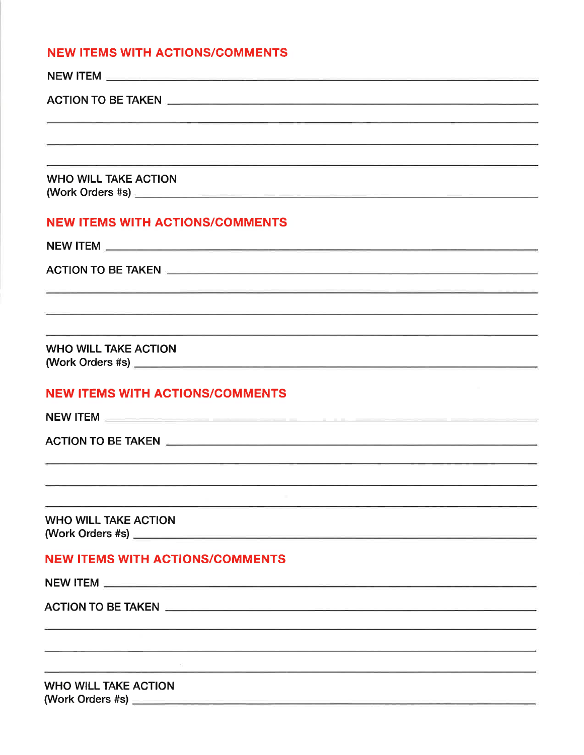#### **NEW ITEMS WITH ACTIONS/COMMENTS**

| <u> 1990 - Andrej Maria Alemania, Amerikaansk politik (d. 1982)</u>                                                                                                                                                                  |
|--------------------------------------------------------------------------------------------------------------------------------------------------------------------------------------------------------------------------------------|
| <b>WHO WILL TAKE ACTION</b>                                                                                                                                                                                                          |
| <b>NEW ITEMS WITH ACTIONS/COMMENTS</b>                                                                                                                                                                                               |
|                                                                                                                                                                                                                                      |
|                                                                                                                                                                                                                                      |
| <u> 1990 - Antonio Antonio Alemania (m. 1989).</u>                                                                                                                                                                                   |
|                                                                                                                                                                                                                                      |
|                                                                                                                                                                                                                                      |
| <b>WHO WILL TAKE ACTION</b>                                                                                                                                                                                                          |
| <b>NEW ITEMS WITH ACTIONS/COMMENTS</b>                                                                                                                                                                                               |
| NEW ITEM <b>All and the contract of the contract of the contract of the contract of the contract of the contract of the contract of the contract of the contract of the contract of the contract of the contract of the contract</b> |
|                                                                                                                                                                                                                                      |
|                                                                                                                                                                                                                                      |
|                                                                                                                                                                                                                                      |
|                                                                                                                                                                                                                                      |
| <b>WHO WILL TAKE ACTION</b>                                                                                                                                                                                                          |
| <b>NEW ITEMS WITH ACTIONS/COMMENTS</b>                                                                                                                                                                                               |
|                                                                                                                                                                                                                                      |
|                                                                                                                                                                                                                                      |
|                                                                                                                                                                                                                                      |
| <u> 2002 - Antonio Alexandro (m. 1954). Antonio Alexandro (m. 1965).</u>                                                                                                                                                             |
| <u> 1989 - Johann John Stein, marwolaeth a bhaile ann an t-Amhainn an t-Amhainn an t-Amhainn an t-Amhainn an t-A</u>                                                                                                                 |
| <b>WHO WILL TAKE ACTION</b>                                                                                                                                                                                                          |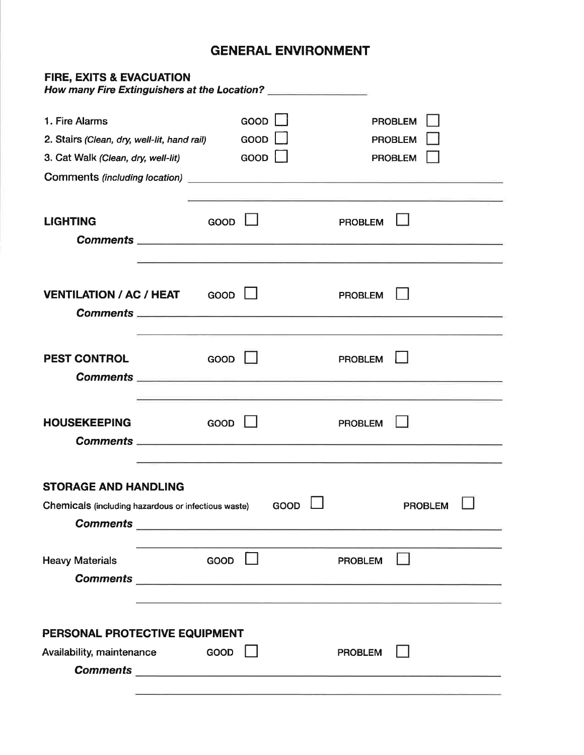## **GENERAL ENVIRONMENT**

| <b>FIRE, EXITS &amp; EVACUATION</b><br>How many Fire Extinguishers at the Location? |      |         |      |                |                                                                                                                      |  |
|-------------------------------------------------------------------------------------|------|---------|------|----------------|----------------------------------------------------------------------------------------------------------------------|--|
| 1. Fire Alarms                                                                      |      | GOOD    |      |                | <b>PROBLEM</b>                                                                                                       |  |
| 2. Stairs (Clean, dry, well-lit, hand rail)                                         |      | GOOD    |      |                | <b>PROBLEM</b>                                                                                                       |  |
| 3. Cat Walk (Clean, dry, well-lit)                                                  |      | GOOD    |      |                | <b>PROBLEM</b>                                                                                                       |  |
|                                                                                     |      |         |      |                |                                                                                                                      |  |
|                                                                                     |      |         |      |                | and the control of the control of the control of the control of the control of                                       |  |
| <b>LIGHTING</b>                                                                     | GOOD |         |      | <b>PROBLEM</b> |                                                                                                                      |  |
|                                                                                     |      |         |      |                |                                                                                                                      |  |
|                                                                                     |      |         |      |                | <u> 1990 - Andrea San Andrea Andrea Andrea Andrea Andrea Andrea Andrea Andrea Andrea Andrea Andrea Andrea Andrea</u> |  |
|                                                                                     |      |         |      |                |                                                                                                                      |  |
| <b>VENTILATION / AC / HEAT GOOD II</b>                                              |      |         |      | <b>PROBLEM</b> |                                                                                                                      |  |
|                                                                                     |      |         |      |                |                                                                                                                      |  |
|                                                                                     |      |         |      |                |                                                                                                                      |  |
| <b>PEST CONTROL</b>                                                                 | GOOD |         |      | <b>PROBLEM</b> |                                                                                                                      |  |
|                                                                                     |      |         |      |                |                                                                                                                      |  |
|                                                                                     |      |         |      |                | <u> 1990 - Andrea Santa Andrea Andrea Andrea Andrea Andrea Andrea Andrea Andrea Andrea Andrea Andrea Andrea Andr</u> |  |
| <b>HOUSEKEEPING</b>                                                                 | GOOD |         |      | <b>PROBLEM</b> |                                                                                                                      |  |
|                                                                                     |      |         |      |                |                                                                                                                      |  |
|                                                                                     |      |         |      |                |                                                                                                                      |  |
| <b>STORAGE AND HANDLING</b>                                                         |      |         |      |                |                                                                                                                      |  |
| Chemicals (including hazardous or infectious waste)                                 |      |         | GOOD |                | <b>PROBLEM</b>                                                                                                       |  |
|                                                                                     |      |         |      |                |                                                                                                                      |  |
|                                                                                     |      |         |      |                |                                                                                                                      |  |
| <b>Heavy Materials</b>                                                              | GOOD | $\perp$ |      | <b>PROBLEM</b> |                                                                                                                      |  |
|                                                                                     |      |         |      |                |                                                                                                                      |  |
|                                                                                     |      |         |      |                |                                                                                                                      |  |
|                                                                                     |      |         |      |                |                                                                                                                      |  |
| PERSONAL PROTECTIVE EQUIPMENT                                                       |      |         |      |                |                                                                                                                      |  |
| Availability, maintenance                                                           | GOOD |         |      | <b>PROBLEM</b> |                                                                                                                      |  |
|                                                                                     |      |         |      |                |                                                                                                                      |  |
|                                                                                     |      |         |      |                |                                                                                                                      |  |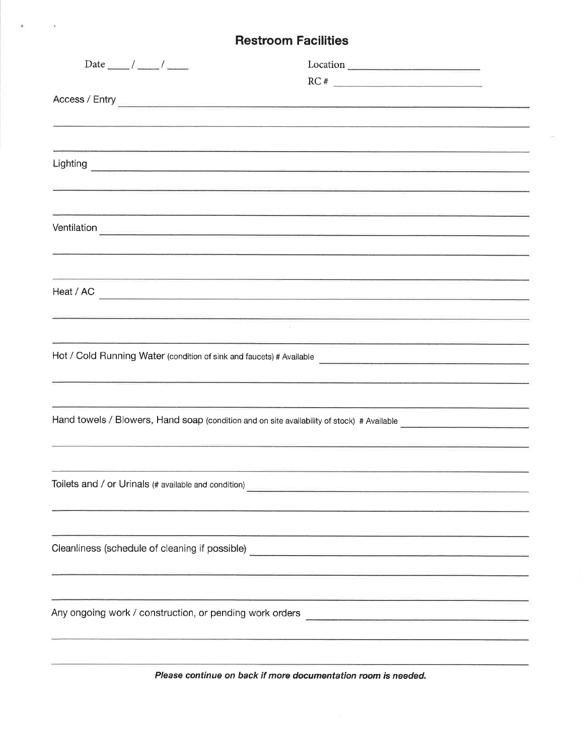### **Restroom Facilities**

 $\sim$ 

 $\mathbf{A}$  , and  $\mathbf{A}$ 

| RC#                                                                                                                                                                                                                                  |
|--------------------------------------------------------------------------------------------------------------------------------------------------------------------------------------------------------------------------------------|
| Access / Entry <b>Constitution of the Constitution of the Constitution of the Constitution of the Constitution of the Constitution of the Constitution of the Constitution of the Constitution of the Constitution of the Consti</b> |
|                                                                                                                                                                                                                                      |
|                                                                                                                                                                                                                                      |
|                                                                                                                                                                                                                                      |
|                                                                                                                                                                                                                                      |
|                                                                                                                                                                                                                                      |
|                                                                                                                                                                                                                                      |
|                                                                                                                                                                                                                                      |
|                                                                                                                                                                                                                                      |
| <u> 1989 - An Aonaichte ann an Aonaichte ann an Aonaichte an Aonaichte ann an Aonaichte ann an Aonaichte ann an Ao</u>                                                                                                               |
|                                                                                                                                                                                                                                      |
|                                                                                                                                                                                                                                      |
|                                                                                                                                                                                                                                      |
|                                                                                                                                                                                                                                      |
| <u> 1951 - Johann Barn, Sammersky fysik (* 1957)</u>                                                                                                                                                                                 |
|                                                                                                                                                                                                                                      |
|                                                                                                                                                                                                                                      |
|                                                                                                                                                                                                                                      |
|                                                                                                                                                                                                                                      |
|                                                                                                                                                                                                                                      |
| <u> 1989 - André Landers (Maria Maria Maria Maria Maria Maria Maria Maria Maria Maria Maria Maria Maria Maria Mar</u>                                                                                                                |
|                                                                                                                                                                                                                                      |
|                                                                                                                                                                                                                                      |
|                                                                                                                                                                                                                                      |
|                                                                                                                                                                                                                                      |
|                                                                                                                                                                                                                                      |
| Cleanliness (schedule of cleaning if possible) entitled and all the set of cleaning of cleaning and all the set of cleaning if possible)                                                                                             |
| <u> 1989 - Andrea Andrea Andrea Andrea Andrea Andrea Andrea Andrea Andrea Andrea Andrea Andrea Andrea Andrea Andr</u>                                                                                                                |
|                                                                                                                                                                                                                                      |
|                                                                                                                                                                                                                                      |
|                                                                                                                                                                                                                                      |
|                                                                                                                                                                                                                                      |
|                                                                                                                                                                                                                                      |
|                                                                                                                                                                                                                                      |

Please continue on back if more documentation room is needed.